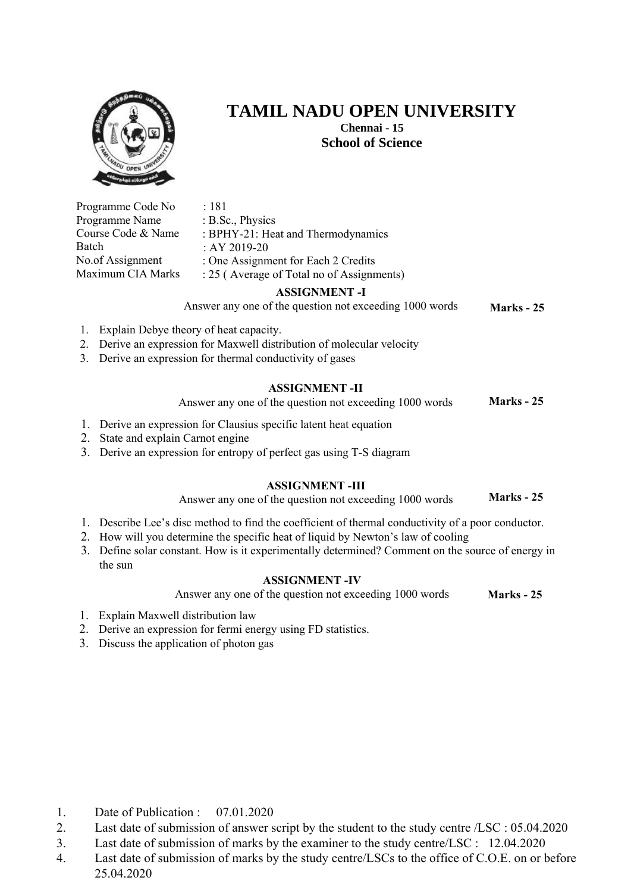

**TAMIL NADU OPEN UNIVERSITY** 

**Chennai - 15 School of Science** 

Programme Code No Programme Name Course Code & Name Batch No.of Assignment Maximum CIA Marks : 181 : B.Sc., Physics : BPHY-21: Heat and Thermodynamics : AY 2019-20 : One Assignment for Each 2 Credits : 25 ( Average of Total no of Assignments) **Marks - 25 ASSIGNMENT -I**  Answer any one of the question not exceeding 1000 words 1. Explain Debye theory of heat capacity. 2. Derive an expression for Maxwell distribution of molecular velocity 3. Derive an expression for thermal conductivity of gases **ASSIGNMENT -II** 

> **Marks - 25** Answer any one of the question not exceeding 1000 words

- 1. Derive an expression for Clausius specific latent heat equation
- 2. State and explain Carnot engine
- 3. Derive an expression for entropy of perfect gas using T-S diagram

## **ASSIGNMENT -III**

**Marks - 25** Answer any one of the question not exceeding 1000 words

- 1. Describe Lee's disc method to find the coefficient of thermal conductivity of a poor conductor.
- 2. How will you determine the specific heat of liquid by Newton's law of cooling
- 3. Define solar constant. How is it experimentally determined? Comment on the source of energy in the sun

## **ASSIGNMENT -IV**

Answer any one of the question not exceeding 1000 words **Marks - 25** 

- 1. Explain Maxwell distribution law
- 2. Derive an expression for fermi energy using FD statistics.
- 3. Discuss the application of photon gas

- 1. Date of Publication : 07.01.2020
- 2. Last date of submission of answer script by the student to the study centre /LSC : 05.04.2020
- 3. Last date of submission of marks by the examiner to the study centre/LSC : 12.04.2020
- 4. Last date of submission of marks by the study centre/LSCs to the office of C.O.E. on or before 25.04.2020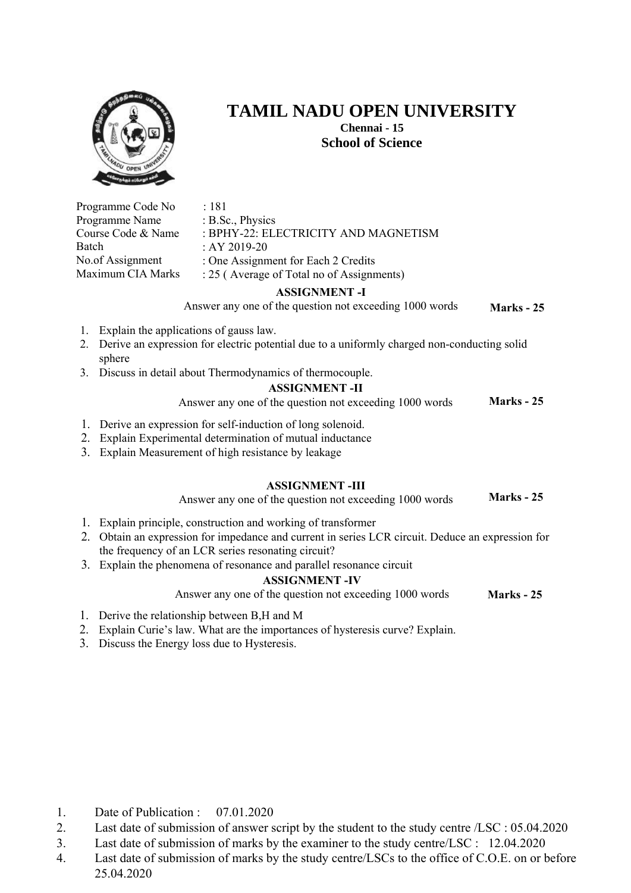

Programme Code No Programme Name Course Code & Name

sphere

: 181

: B.Sc., Physics

Batch

**TAMIL NADU OPEN UNIVERSITY** 

**Chennai - 15 School of Science** 

No.of Assignment Maximum CIA Marks : BPHY-22: ELECTRICITY AND MAGNETISM : AY 2019-20 : One Assignment for Each 2 Credits : 25 ( Average of Total no of Assignments) **Marks - 25 ASSIGNMENT -I**  Answer any one of the question not exceeding 1000 words 1. Explain the applications of gauss law. 2. Derive an expression for electric potential due to a uniformly charged non-conducting solid 3. Discuss in detail about Thermodynamics of thermocouple. **Marks - 25 ASSIGNMENT -II**  Answer any one of the question not exceeding 1000 words 1. Derive an expression for self-induction of long solenoid. 2. Explain Experimental determination of mutual inductance 3. Explain Measurement of high resistance by leakage **Marks - 25 ASSIGNMENT -III** Answer any one of the question not exceeding 1000 words 1. Explain principle, construction and working of transformer 2. Obtain an expression for impedance and current in series LCR circuit. Deduce an expression for the frequency of an LCR series resonating circuit? 3. Explain the phenomena of resonance and parallel resonance circuit **ASSIGNMENT -IV**

Answer any one of the question not exceeding 1000 words **Marks - 25** 

- 1. Derive the relationship between B,H and M
- 2. Explain Curie's law. What are the importances of hysteresis curve? Explain.
- 3. Discuss the Energy loss due to Hysteresis.

- 1. Date of Publication : 07.01.2020
- 2. Last date of submission of answer script by the student to the study centre /LSC : 05.04.2020
- 3. Last date of submission of marks by the examiner to the study centre/LSC : 12.04.2020
- 4. Last date of submission of marks by the study centre/LSCs to the office of C.O.E. on or before 25.04.2020